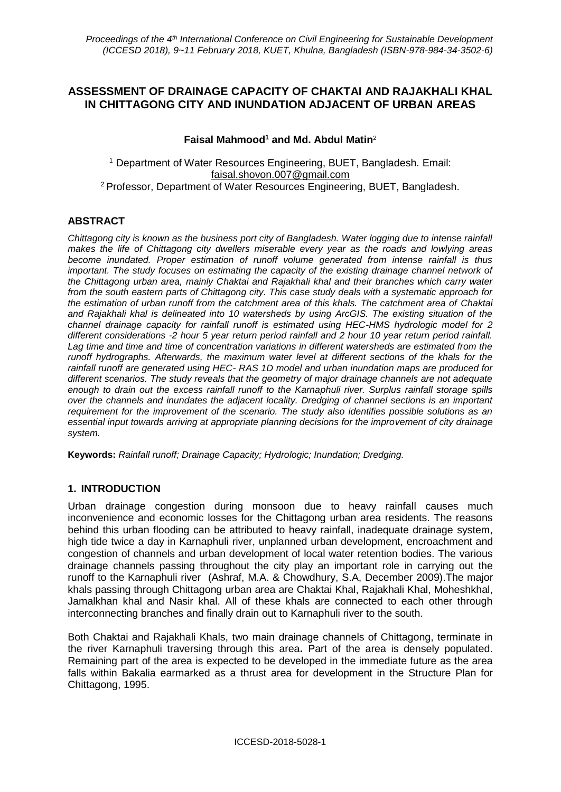# **ASSESSMENT OF DRAINAGE CAPACITY OF CHAKTAI AND RAJAKHALI KHAL IN CHITTAGONG CITY AND INUNDATION ADJACENT OF URBAN AREAS**

### **Faisal Mahmood<sup>1</sup> and Md. Abdul Matin**<sup>2</sup>

<sup>1</sup> Department of Water Resources Engineering, BUET, Bangladesh. Email: faisal.shovon.007@gmail.com <sup>2</sup>Professor, Department of Water Resources Engineering, BUET, Bangladesh.

### **ABSTRACT**

*Chittagong city is known as the business port city of Bangladesh. Water logging due to intense rainfall makes the life of Chittagong city dwellers miserable every year as the roads and lowlying areas become inundated. Proper estimation of runoff volume generated from intense rainfall is thus important. The study focuses on estimating the capacity of the existing drainage channel network of the Chittagong urban area, mainly Chaktai and Rajakhali khal and their branches which carry water from the south eastern parts of Chittagong city. This case study deals with a systematic approach for the estimation of urban runoff from the catchment area of this khals. The catchment area of Chaktai and Rajakhali khal is delineated into 10 watersheds by using ArcGIS. The existing situation of the channel drainage capacity for rainfall runoff is estimated using HEC-HMS hydrologic model for 2 different considerations -2 hour 5 year return period rainfall and 2 hour 10 year return period rainfall. Lag time and time and time of concentration variations in different watersheds are estimated from the runoff hydrographs. Afterwards, the maximum water level at different sections of the khals for the rainfall runoff are generated using HEC- RAS 1D model and urban inundation maps are produced for different scenarios. The study reveals that the geometry of major drainage channels are not adequate enough to drain out the excess rainfall runoff to the Karnaphuli river. Surplus rainfall storage spills over the channels and inundates the adjacent locality. Dredging of channel sections is an important requirement for the improvement of the scenario. The study also identifies possible solutions as an essential input towards arriving at appropriate planning decisions for the improvement of city drainage system.*

**Keywords:** *Rainfall runoff; Drainage Capacity; Hydrologic; Inundation; Dredging.*

### **1. INTRODUCTION**

Urban drainage congestion during monsoon due to heavy rainfall causes much inconvenience and economic losses for the Chittagong urban area residents. The reasons behind this urban flooding can be attributed to heavy rainfall, inadequate drainage system, high tide twice a day in Karnaphuli river, unplanned urban development, encroachment and congestion of channels and urban development of local water retention bodies. The various drainage channels passing throughout the city play an important role in carrying out the runoff to the Karnaphuli river (Ashraf, M.A. & Chowdhury, S.A, December 2009).The major khals passing through Chittagong urban area are Chaktai Khal, Rajakhali Khal, Moheshkhal, Jamalkhan khal and Nasir khal. All of these khals are connected to each other through interconnecting branches and finally drain out to Karnaphuli river to the south.

Both Chaktai and Rajakhali Khals, two main drainage channels of Chittagong, terminate in the river Karnaphuli traversing through this area**.** Part of the area is densely populated. Remaining part of the area is expected to be developed in the immediate future as the area falls within Bakalia earmarked as a thrust area for development in the Structure Plan for Chittagong, 1995.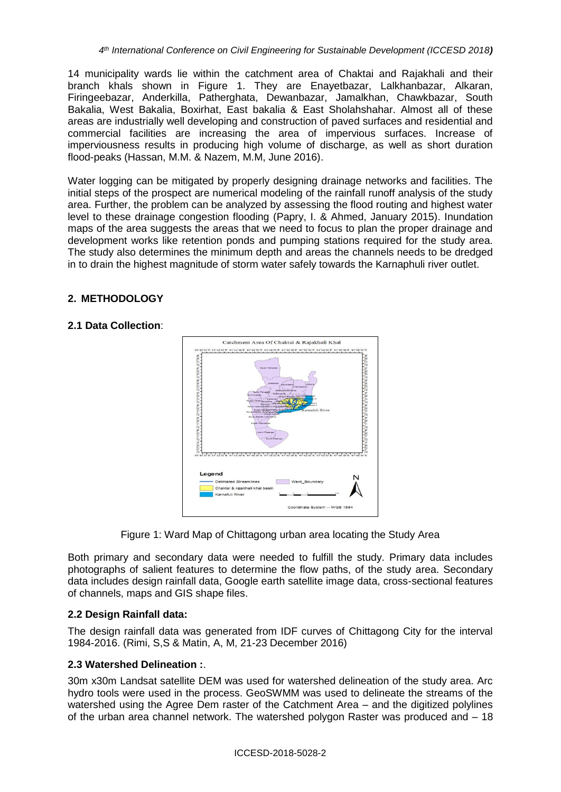14 municipality wards lie within the catchment area of Chaktai and Rajakhali and their branch khals shown in Figure 1. They are Enayetbazar, Lalkhanbazar, Alkaran, Firingeebazar, Anderkilla, Patherghata, Dewanbazar, Jamalkhan, Chawkbazar, South Bakalia, West Bakalia, Boxirhat, East bakalia & East Sholahshahar. Almost all of these areas are industrially well developing and construction of paved surfaces and residential and commercial facilities are increasing the area of impervious surfaces. Increase of imperviousness results in producing high volume of discharge, as well as short duration flood-peaks (Hassan, M.M. & Nazem, M.M, June 2016).

Water logging can be mitigated by properly designing drainage networks and facilities. The initial steps of the prospect are numerical modeling of the rainfall runoff analysis of the study area. Further, the problem can be analyzed by assessing the flood routing and highest water level to these drainage congestion flooding (Papry, I. & Ahmed, January 2015). Inundation maps of the area suggests the areas that we need to focus to plan the proper drainage and development works like retention ponds and pumping stations required for the study area. The study also determines the minimum depth and areas the channels needs to be dredged in to drain the highest magnitude of storm water safely towards the Karnaphuli river outlet.

## **2. METHODOLOGY**

### **2.1 Data Collection**:





Both primary and secondary data were needed to fulfill the study. Primary data includes photographs of salient features to determine the flow paths, of the study area. Secondary data includes design rainfall data, Google earth satellite image data, cross-sectional features of channels, maps and GIS shape files.

### **2.2 Design Rainfall data:**

The design rainfall data was generated from IDF curves of Chittagong City for the interval 1984-2016. (Rimi, S,S & Matin, A, M, 21-23 December 2016)

### **2.3 Watershed Delineation :**.

30m x30m Landsat satellite DEM was used for watershed delineation of the study area. Arc hydro tools were used in the process. GeoSWMM was used to delineate the streams of the watershed using the Agree Dem raster of the Catchment Area – and the digitized polylines of the urban area channel network. The watershed polygon Raster was produced and – 18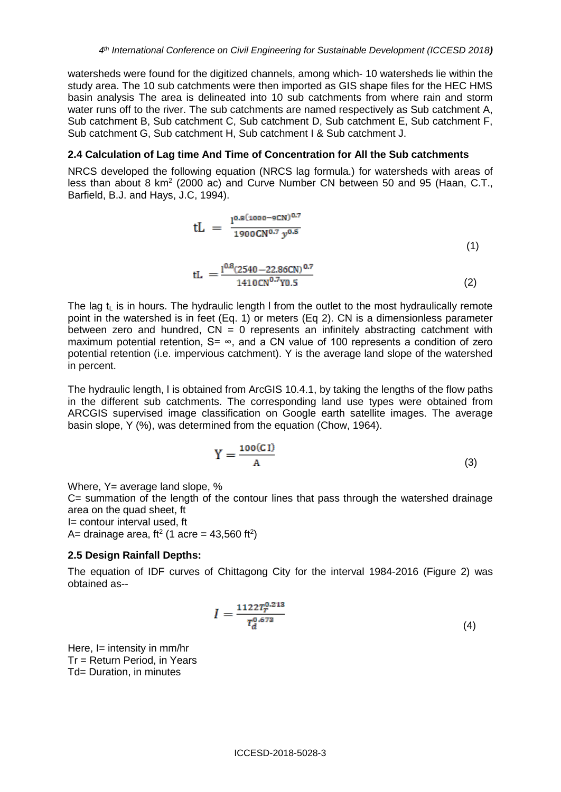watersheds were found for the digitized channels, among which- 10 watersheds lie within the study area. The 10 sub catchments were then imported as GIS shape files for the HEC HMS basin analysis The area is delineated into 10 sub catchments from where rain and storm water runs off to the river. The sub catchments are named respectively as Sub catchment A, Sub catchment B, Sub catchment C, Sub catchment D, Sub catchment E, Sub catchment F, Sub catchment G, Sub catchment H, Sub catchment I & Sub catchment J.

#### **2.4 Calculation of Lag time And Time of Concentration for All the Sub catchments**

NRCS developed the following equation (NRCS lag formula.) for watersheds with areas of less than about 8 km<sup>2</sup> (2000 ac) and Curve Number CN between 50 and 95 (Haan, C.T., Barfield, B.J. and Hays, J.C, 1994).

$$
tL = \frac{1^{0.8(1000 - 9CN)^{0.7}}}{1900 \text{CN}^{0.7} y^{0.5}}
$$
  
\n
$$
tL = \frac{1^{0.8(2540 - 22.86CN)^{0.7}}}{1410 \text{CN}^{0.7} Y^{0.5}}
$$
 (2)

The lag  $t<sub>l</sub>$  is in hours. The hydraulic length I from the outlet to the most hydraulically remote point in the watershed is in feet (Eq. 1) or meters (Eq 2). CN is a dimensionless parameter between zero and hundred,  $CN = 0$  represents an infinitely abstracting catchment with maximum potential retention,  $S= \infty$ , and a CN value of 100 represents a condition of zero potential retention (i.e. impervious catchment). Y is the average land slope of the watershed in percent.

The hydraulic length, l is obtained from ArcGIS 10.4.1, by taking the lengths of the flow paths in the different sub catchments. The corresponding land use types were obtained from ARCGIS supervised image classification on Google earth satellite images. The average basin slope, Y (%), was determined from the equation (Chow, 1964).

$$
Y = \frac{100(C1)}{A} \tag{3}
$$

Where, Y= average land slope, %

C= summation of the length of the contour lines that pass through the watershed drainage area on the quad sheet, ft

I= contour interval used, ft

A= drainage area, ft<sup>2</sup> (1 acre = 43,560 ft<sup>2</sup>)

### **2.5 Design Rainfall Depths:**

The equation of IDF curves of Chittagong City for the interval 1984-2016 (Figure 2) was obtained as--

$$
I = \frac{1122T_r^{0.213}}{T_d^{0.673}}
$$
 (4)

Here, I= intensity in mm/hr Tr = Return Period, in Years Td= Duration, in minutes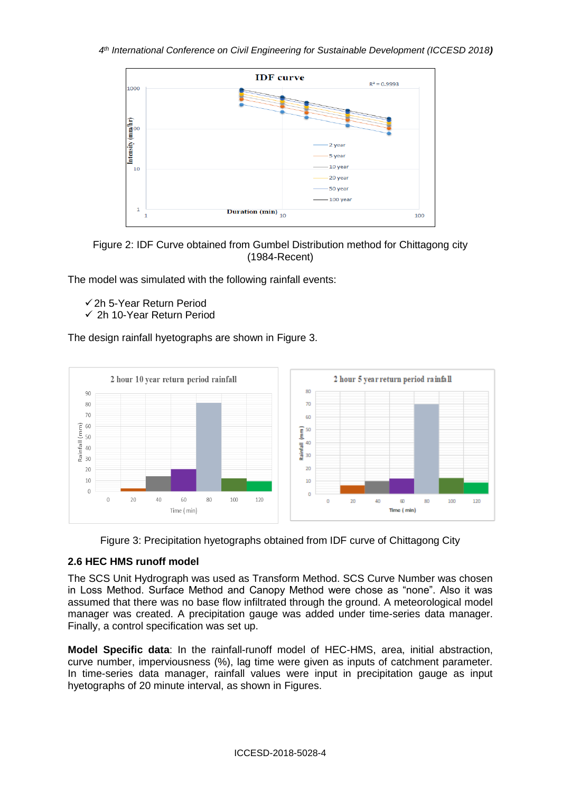



The model was simulated with the following rainfall events:

- ✓2h 5-Year Return Period
- ✓ 2h 10-Year Return Period

The design rainfall hyetographs are shown in Figure 3.





# **2.6 HEC HMS runoff model**

The SCS Unit Hydrograph was used as Transform Method. SCS Curve Number was chosen in Loss Method. Surface Method and Canopy Method were chose as "none". Also it was assumed that there was no base flow infiltrated through the ground. A meteorological model manager was created. A precipitation gauge was added under time-series data manager. Finally, a control specification was set up.

**Model Specific data**: In the rainfall-runoff model of HEC-HMS, area, initial abstraction, curve number, imperviousness (%), lag time were given as inputs of catchment parameter. In time-series data manager, rainfall values were input in precipitation gauge as input hyetographs of 20 minute interval, as shown in Figures.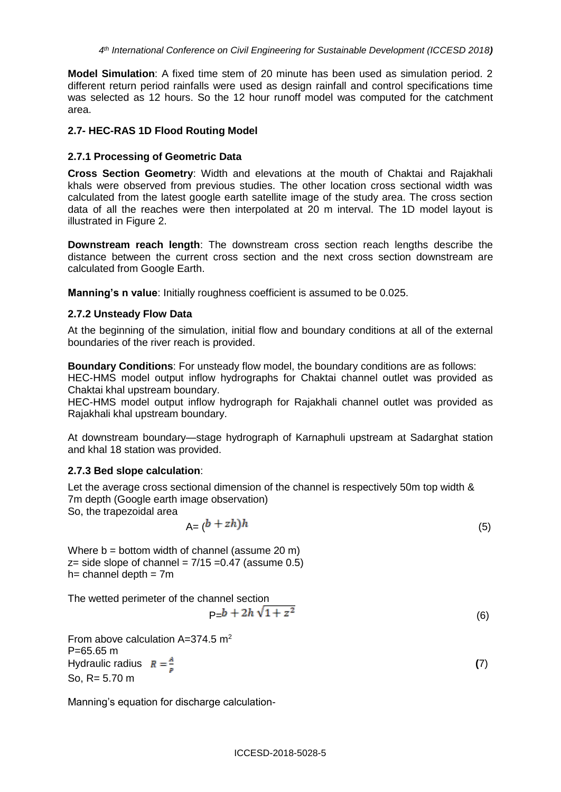**Model Simulation**: A fixed time stem of 20 minute has been used as simulation period. 2 different return period rainfalls were used as design rainfall and control specifications time was selected as 12 hours. So the 12 hour runoff model was computed for the catchment area.

#### **2.7- HEC-RAS 1D Flood Routing Model**

#### **2.7.1 Processing of Geometric Data**

**Cross Section Geometry**: Width and elevations at the mouth of Chaktai and Rajakhali khals were observed from previous studies. The other location cross sectional width was calculated from the latest google earth satellite image of the study area. The cross section data of all the reaches were then interpolated at 20 m interval. The 1D model layout is illustrated in Figure 2.

**Downstream reach length**: The downstream cross section reach lengths describe the distance between the current cross section and the next cross section downstream are calculated from Google Earth.

**Manning's n value**: Initially roughness coefficient is assumed to be 0.025.

#### **2.7.2 Unsteady Flow Data**

At the beginning of the simulation, initial flow and boundary conditions at all of the external boundaries of the river reach is provided.

**Boundary Conditions**: For unsteady flow model, the boundary conditions are as follows:

HEC-HMS model output inflow hydrographs for Chaktai channel outlet was provided as Chaktai khal upstream boundary.

HEC-HMS model output inflow hydrograph for Rajakhali channel outlet was provided as Rajakhali khal upstream boundary.

At downstream boundary—stage hydrograph of Karnaphuli upstream at Sadarghat station and khal 18 station was provided.

#### **2.7.3 Bed slope calculation**:

Let the average cross sectional dimension of the channel is respectively 50m top width & 7m depth (Google earth image observation)

So, the trapezoidal area

$$
A = (b + zh)h \tag{5}
$$

Where b = bottom width of channel (assume 20 m)  $z=$  side slope of channel =  $7/15 = 0.47$  (assume 0.5)  $h=$  channel depth =  $7m$ 

The wetted perimeter of the channel section

$$
P = b + 2h\sqrt{1 + z^2}
$$
 (6)

From above calculation  $A=374.5$  m<sup>2</sup> P=65.65 m Hydraulic radius  $R = \frac{A}{2}$  (7) So, R= 5.70 m

Manning's equation for discharge calculation-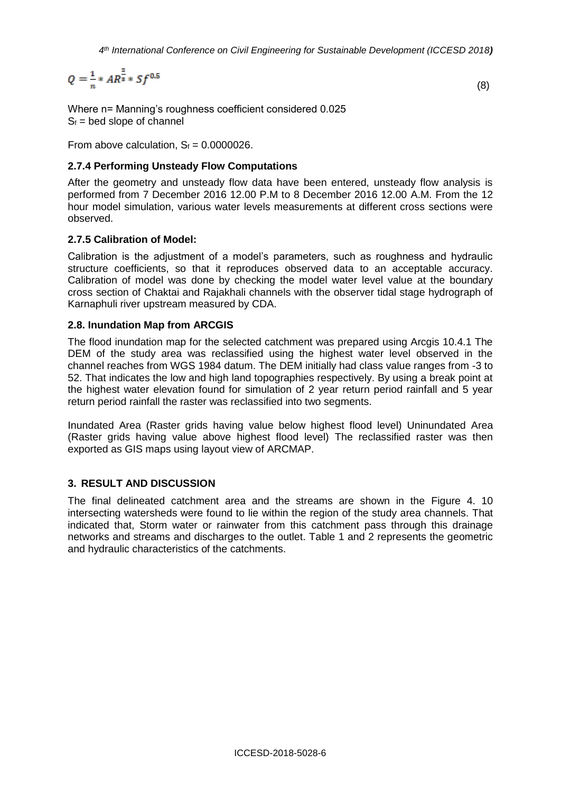$$
Q = \frac{1}{n} * AR^{\frac{2}{3}} * Sf^{0.5}
$$
 (8)

Where n= Manning's roughness coefficient considered 0.025  $S_f$  = bed slope of channel

From above calculation,  $S_f = 0.0000026$ .

#### **2.7.4 Performing Unsteady Flow Computations**

After the geometry and unsteady flow data have been entered, unsteady flow analysis is performed from 7 December 2016 12.00 P.M to 8 December 2016 12.00 A.M. From the 12 hour model simulation, various water levels measurements at different cross sections were observed.

#### **2.7.5 Calibration of Model:**

Calibration is the adjustment of a model's parameters, such as roughness and hydraulic structure coefficients, so that it reproduces observed data to an acceptable accuracy. Calibration of model was done by checking the model water level value at the boundary cross section of Chaktai and Rajakhali channels with the observer tidal stage hydrograph of Karnaphuli river upstream measured by CDA.

#### **2.8. Inundation Map from ARCGIS**

The flood inundation map for the selected catchment was prepared using Arcgis 10.4.1 The DEM of the study area was reclassified using the highest water level observed in the channel reaches from WGS 1984 datum. The DEM initially had class value ranges from -3 to 52. That indicates the low and high land topographies respectively. By using a break point at the highest water elevation found for simulation of 2 year return period rainfall and 5 year return period rainfall the raster was reclassified into two segments.

Inundated Area (Raster grids having value below highest flood level) Uninundated Area (Raster grids having value above highest flood level) The reclassified raster was then exported as GIS maps using layout view of ARCMAP.

### **3. RESULT AND DISCUSSION**

The final delineated catchment area and the streams are shown in the Figure 4. 10 intersecting watersheds were found to lie within the region of the study area channels. That indicated that, Storm water or rainwater from this catchment pass through this drainage networks and streams and discharges to the outlet. Table 1 and 2 represents the geometric and hydraulic characteristics of the catchments.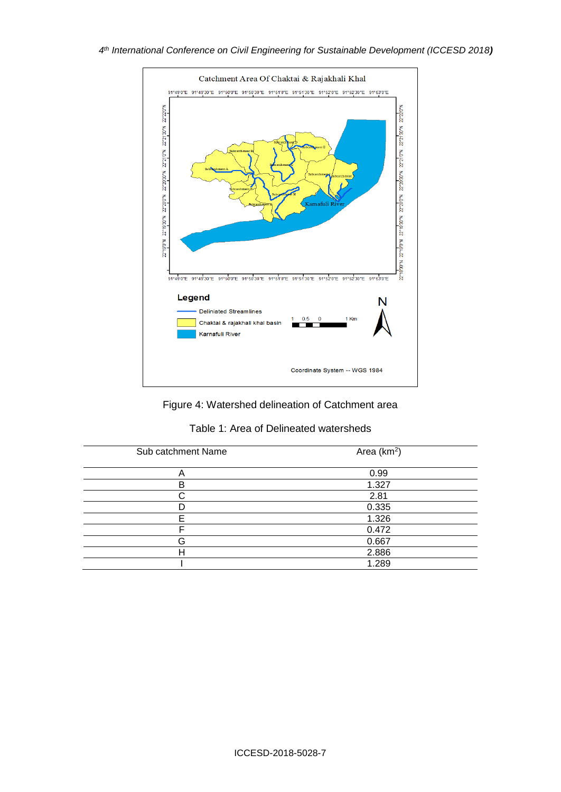

Figure 4: Watershed delineation of Catchment area

|  |  | Table 1: Area of Delineated watersheds |  |
|--|--|----------------------------------------|--|
|--|--|----------------------------------------|--|

| Area (km <sup>2</sup> ) |  |  |
|-------------------------|--|--|
| 0.99                    |  |  |
| 1.327                   |  |  |
| 2.81                    |  |  |
| 0.335                   |  |  |
| 1.326                   |  |  |
| 0.472                   |  |  |
| 0.667                   |  |  |
| 2.886                   |  |  |
| 1.289                   |  |  |
|                         |  |  |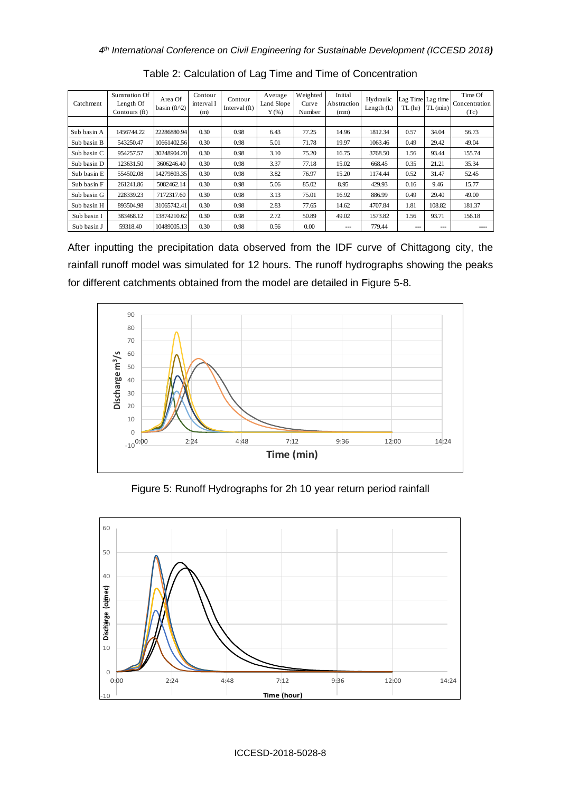| Catchment   | Summation Of<br>Length Of<br>Contours (ft) | Area Of<br>basin ( $ft^2$ ) | Contour<br>interval I<br>(m) | Contour<br>Interval (ft) | Average<br>Land Slope<br>$Y$ (%) | Weighted<br>Curve<br>Number | Initial<br>Abstraction<br>(mm) | Hydraulic<br>Length (L) | Lag Time Lag time<br>TL(hr) | TL (min)          | Time Of<br>Concentration<br>(Tc) |
|-------------|--------------------------------------------|-----------------------------|------------------------------|--------------------------|----------------------------------|-----------------------------|--------------------------------|-------------------------|-----------------------------|-------------------|----------------------------------|
| Sub basin A | 1456744.22                                 | 22286880.94                 | 0.30                         | 0.98                     | 6.43                             | 77.25                       | 14.96                          | 1812.34                 | 0.57                        | 34.04             | 56.73                            |
| Sub basin B | 543250.47                                  | 10661402.56                 | 0.30                         | 0.98                     | 5.01                             | 71.78                       | 19.97                          | 1063.46                 | 0.49                        | 29.42             | 49.04                            |
| Sub basin C | 954257.57                                  | 30248904.20                 | 0.30                         | 0.98                     | 3.10                             | 75.20                       | 16.75                          | 3768.50                 | 1.56                        | 93.44             | 155.74                           |
| Sub basin D | 123631.50                                  | 3606246.40                  | 0.30                         | 0.98                     | 3.37                             | 77.18                       | 15.02                          | 668.45                  | 0.35                        | 21.21             | 35.34                            |
| Sub basin E | 554502.08                                  | 14279803.35                 | 0.30                         | 0.98                     | 3.82                             | 76.97                       | 15.20                          | 1174.44                 | 0.52                        | 31.47             | 52.45                            |
| Sub basin F | 261241.86                                  | 5082462.14                  | 0.30                         | 0.98                     | 5.06                             | 85.02                       | 8.95                           | 429.93                  | 0.16                        | 9.46              | 15.77                            |
| Sub basin G | 228339.23                                  | 7172317.60                  | 0.30                         | 0.98                     | 3.13                             | 75.01                       | 16.92                          | 886.99                  | 0.49                        | 29.40             | 49.00                            |
| Sub basin H | 893504.98                                  | 31065742.41                 | 0.30                         | 0.98                     | 2.83                             | 77.65                       | 14.62                          | 4707.84                 | 1.81                        | 108.82            | 181.37                           |
| Sub basin I | 383468.12                                  | 13874210.62                 | 0.30                         | 0.98                     | 2.72                             | 50.89                       | 49.02                          | 1573.82                 | 1.56                        | 93.71             | 156.18                           |
| Sub basin J | 59318.40                                   | 10489005.13                 | 0.30                         | 0.98                     | 0.56                             | 0.00                        | $---$                          | 779.44                  | $---$                       | $\qquad \qquad -$ | ----                             |

Table 2: Calculation of Lag Time and Time of Concentration

After inputting the precipitation data observed from the IDF curve of Chittagong city, the rainfall runoff model was simulated for 12 hours. The runoff hydrographs showing the peaks for different catchments obtained from the model are detailed in Figure 5-8.



Figure 5: Runoff Hydrographs for 2h 10 year return period rainfall

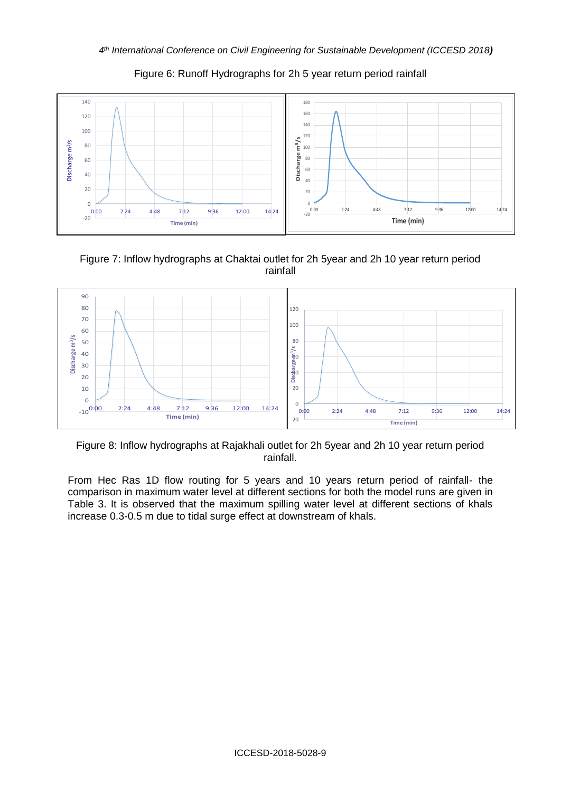

Figure 6: Runoff Hydrographs for 2h 5 year return period rainfall

Figure 7: Inflow hydrographs at Chaktai outlet for 2h 5year and 2h 10 year return period rainfall



Figure 8: Inflow hydrographs at Rajakhali outlet for 2h 5year and 2h 10 year return period rainfall.

From Hec Ras 1D flow routing for 5 years and 10 years return period of rainfall- the comparison in maximum water level at different sections for both the model runs are given in Table 3. It is observed that the maximum spilling water level at different sections of khals increase 0.3-0.5 m due to tidal surge effect at downstream of khals.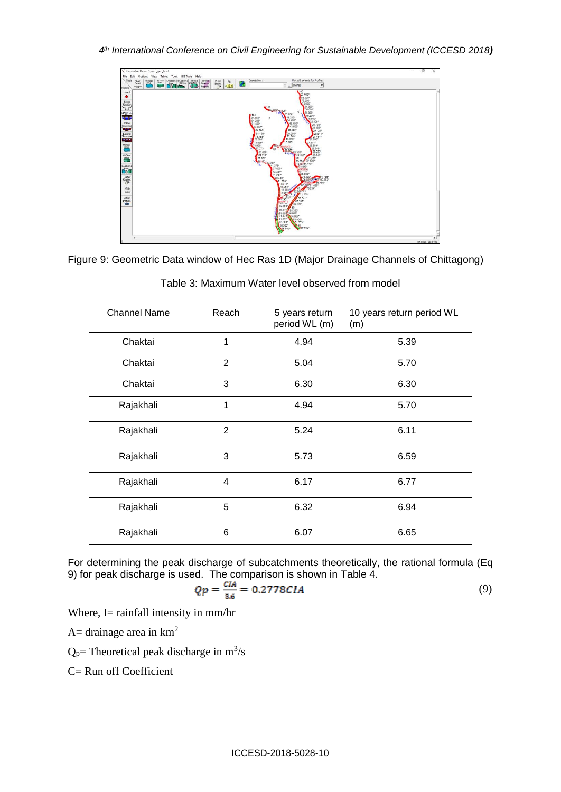

Figure 9: Geometric Data window of Hec Ras 1D (Major Drainage Channels of Chittagong)

| <b>Channel Name</b> | Reach          | 5 years return<br>period WL (m) | 10 years return period WL<br>(m) |
|---------------------|----------------|---------------------------------|----------------------------------|
| Chaktai             | 1              | 4.94                            | 5.39                             |
| Chaktai             | $\overline{2}$ | 5.04                            | 5.70                             |
| Chaktai             | 3              | 6.30                            | 6.30                             |
| Rajakhali           | 1              | 4.94                            | 5.70                             |
| Rajakhali           | 2              | 5.24                            | 6.11                             |
| Rajakhali           | 3              | 5.73                            | 6.59                             |
| Rajakhali           | 4              | 6.17                            | 6.77                             |
| Rajakhali           | 5              | 6.32                            | 6.94                             |
| Rajakhali           | 6              | 6.07                            | 6.65                             |

Table 3: Maximum Water level observed from model

For determining the peak discharge of subcatchments theoretically, the rational formula (Eq 9) for peak discharge is used. The comparison is shown in Table 4.

$$
Qp = \frac{CIA}{3.6} = 0.2778CIA
$$
 (9)

Where, I= rainfall intensity in mm/hr

A= drainage area in  $km^2$ 

 $Q_p$ = Theoretical peak discharge in m<sup>3</sup>/s

C= Run off Coefficient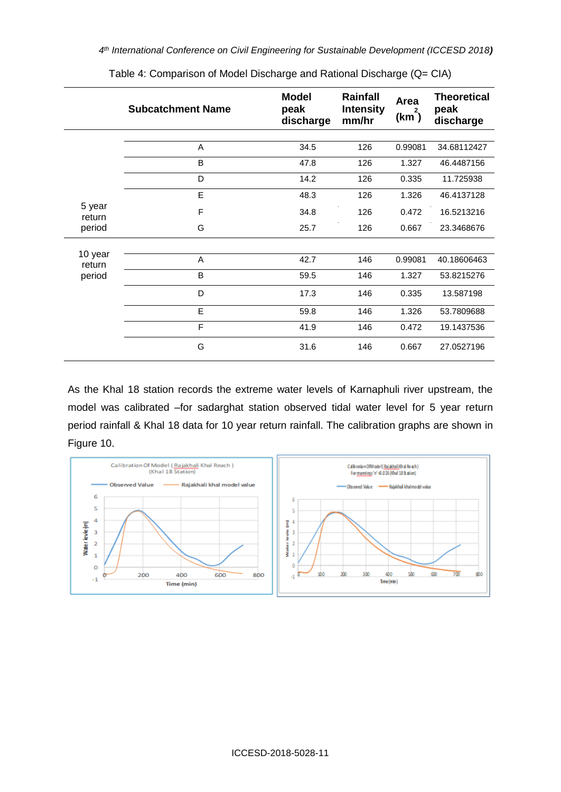|                  | <b>Subcatchment Name</b> | <b>Model</b><br>peak<br>discharge | <b>Rainfall</b><br><b>Intensity</b><br>mm/hr | Area<br>$(km^2)$ | <b>Theoretical</b><br>peak<br>discharge |
|------------------|--------------------------|-----------------------------------|----------------------------------------------|------------------|-----------------------------------------|
|                  | A                        | 34.5                              | 126                                          | 0.99081          | 34.68112427                             |
|                  | B                        | 47.8                              | 126                                          | 1.327            | 46.4487156                              |
|                  | D                        | 14.2                              | 126                                          | 0.335            | 11.725938                               |
|                  | E                        | 48.3                              | 126                                          | 1.326            | 46.4137128                              |
| 5 year<br>return | F                        | 34.8                              | 126                                          | 0.472            | 16.5213216                              |
| period           | G                        | 25.7                              | 126                                          | 0.667            | 23.3468676                              |
| 10 year          |                          |                                   |                                              |                  |                                         |
| return           | A                        | 42.7                              | 146                                          | 0.99081          | 40.18606463                             |
| period           | B                        | 59.5                              | 146                                          | 1.327            | 53.8215276                              |
|                  | D                        | 17.3                              | 146                                          | 0.335            | 13.587198                               |
|                  | E                        | 59.8                              | 146                                          | 1.326            | 53.7809688                              |
|                  | F                        | 41.9                              | 146                                          | 0.472            | 19.1437536                              |
|                  | G                        | 31.6                              | 146                                          | 0.667            | 27.0527196                              |

Table 4: Comparison of Model Discharge and Rational Discharge (Q= CIA)

As the Khal 18 station records the extreme water levels of Karnaphuli river upstream, the model was calibrated –for sadarghat station observed tidal water level for 5 year return period rainfall & Khal 18 data for 10 year return rainfall. The calibration graphs are shown in Figure 10.

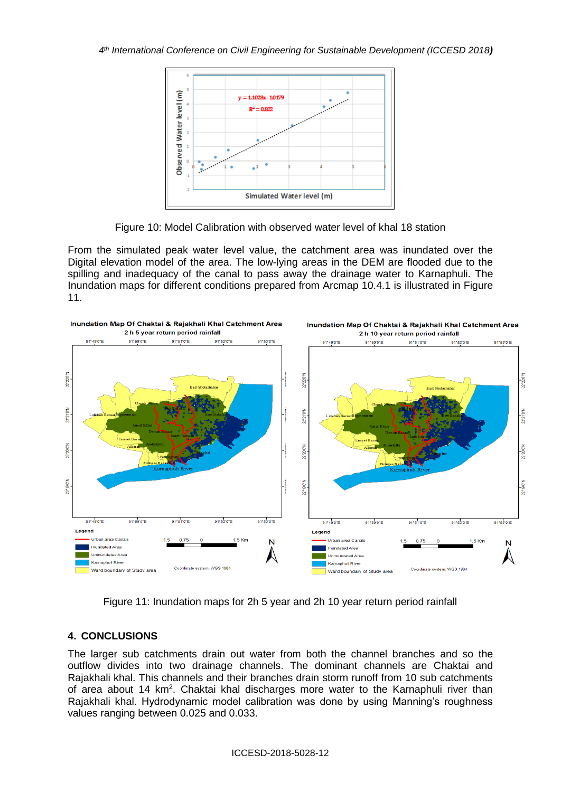

Figure 10: Model Calibration with observed water level of khal 18 station

From the simulated peak water level value, the catchment area was inundated over the Digital elevation model of the area. The low-lying areas in the DEM are flooded due to the spilling and inadequacy of the canal to pass away the drainage water to Karnaphuli. The Inundation maps for different conditions prepared from Arcmap 10.4.1 is illustrated in Figure 11.



Figure 11: Inundation maps for 2h 5 year and 2h 10 year return period rainfall

# **4. CONCLUSIONS**

The larger sub catchments drain out water from both the channel branches and so the outflow divides into two drainage channels. The dominant channels are Chaktai and Rajakhali khal. This channels and their branches drain storm runoff from 10 sub catchments of area about 14 km<sup>2</sup>. Chaktai khal discharges more water to the Karnaphuli river than Rajakhali khal. Hydrodynamic model calibration was done by using Manning's roughness values ranging between 0.025 and 0.033.